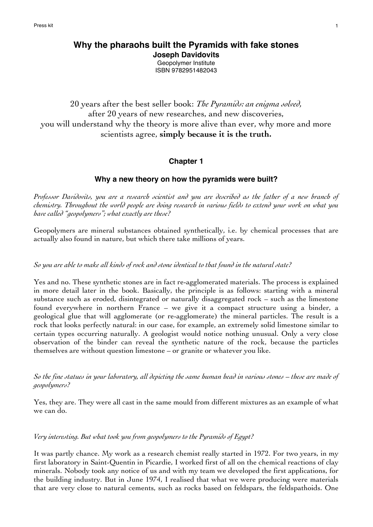# **Why the pharaohs built the Pyramids with fake stones Joseph Davidovits**

Geopolymer Institute ISBN 9782951482043

# 20 years after the best seller book: *The Pyramids: an enigma solved,* after 20 years of new researches, and new discoveries, you will understand why the theory is more alive than ever, why more and more scientists agree, **simply because it is the truth.**

# **Chapter 1**

# **Why a new theory on how the pyramids were built?**

*Professor Davidovits, you are a research scientist and you are described as the father of a new branch of chemistry. Throughout the world people are doing research in various fields to extend your work on what you have called "geopolymers"; what exactly are these?*

Geopolymers are mineral substances obtained synthetically, i.e. by chemical processes that are actually also found in nature, but which there take millions of years.

## *So you are able to make all kinds of rock and stone identical to that found in the natural state?*

Yes and no. These synthetic stones are in fact re-agglomerated materials. The process is explained in more detail later in the book. Basically, the principle is as follows: starting with a mineral substance such as eroded, disintegrated or naturally disaggregated rock – such as the limestone found everywhere in northern France – we give it a compact structure using a binder, a geological glue that will agglomerate (or re-agglomerate) the mineral particles. The result is a rock that looks perfectly natural: in our case, for example, an extremely solid limestone similar to certain types occurring naturally. A geologist would notice nothing unusual. Only a very close observation of the binder can reveal the synthetic nature of the rock, because the particles themselves are without question limestone – or granite or whatever you like.

*So the fine statues in your laboratory, all depicting the same human head in various stones – these are made of geopolymers?*

Yes, they are. They were all cast in the same mould from different mixtures as an example of what we can do.

## *Very interesting. But what took you from geopolymers to the Pyramids of Egypt?*

It was partly chance. My work as a research chemist really started in 1972. For two years, in my first laboratory in Saint-Quentin in Picardie, I worked first of all on the chemical reactions of clay minerals. Nobody took any notice of us and with my team we developed the first applications, for the building industry. But in June 1974, I realised that what we were producing were materials that are very close to natural cements, such as rocks based on feldspars, the feldspathoids. One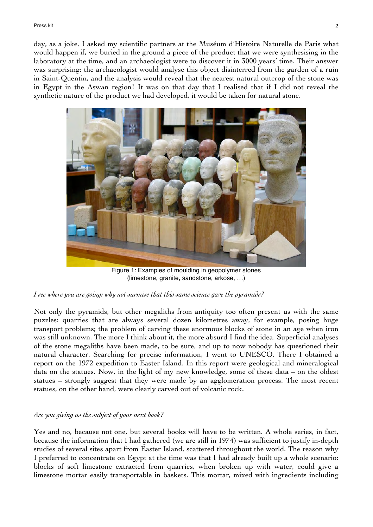day, as a joke, I asked my scientific partners at the Muséum d'Histoire Naturelle de Paris what would happen if, we buried in the ground a piece of the product that we were synthesising in the laboratory at the time, and an archaeologist were to discover it in 3000 years' time. Their answer was surprising: the archaeologist would analyse this object disinterred from the garden of a ruin in Saint-Quentin, and the analysis would reveal that the nearest natural outcrop of the stone was in Egypt in the Aswan region! It was on that day that I realised that if I did not reveal the synthetic nature of the product we had developed, it would be taken for natural stone.



Figure 1: Examples of moulding in geopolymer stones (limestone, granite, sandstone, arkose, …)

## *I see where you are going: why not surmise that this same science gave the pyramids?*

Not only the pyramids, but other megaliths from antiquity too often present us with the same puzzles: quarries that are always several dozen kilometres away, for example, posing huge transport problems; the problem of carving these enormous blocks of stone in an age when iron was still unknown. The more I think about it, the more absurd I find the idea. Superficial analyses of the stone megaliths have been made, to be sure, and up to now nobody has questioned their natural character. Searching for precise information, I went to UNESCO. There I obtained a report on the 1972 expedition to Easter Island. In this report were geological and mineralogical data on the statues. Now, in the light of my new knowledge, some of these data – on the oldest statues – strongly suggest that they were made by an agglomeration process. The most recent statues, on the other hand, were clearly carved out of volcanic rock.

## *Are you giving us the subject of your next book?*

Yes and no, because not one, but several books will have to be written. A whole series, in fact, because the information that I had gathered (we are still in 1974) was sufficient to justify in-depth studies of several sites apart from Easter Island, scattered throughout the world. The reason why I preferred to concentrate on Egypt at the time was that I had already built up a whole scenario: blocks of soft limestone extracted from quarries, when broken up with water, could give a limestone mortar easily transportable in baskets. This mortar, mixed with ingredients including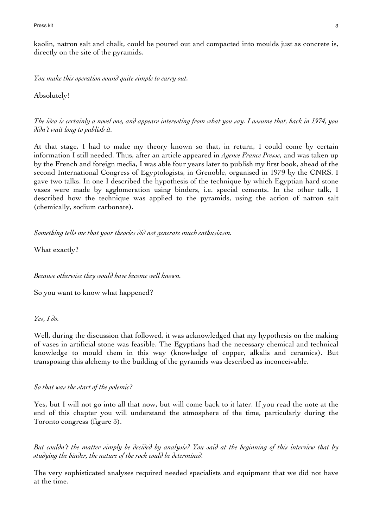Press kit and the second second second second second second second second second second second second second second second second second second second second second second second second second second second second second s

kaolin, natron salt and chalk, could be poured out and compacted into moulds just as concrete is, directly on the site of the pyramids.

*You make this operation sound quite simple to carry out.*

Absolutely!

*The idea is certainly a novel one, and appears interesting from what you say. I assume that, back in 1974, you didn't wait long to publish it.*

At that stage, I had to make my theory known so that, in return, I could come by certain information I still needed. Thus, after an article appeared in *Agence France Presse*, and was taken up by the French and foreign media, I was able four years later to publish my first book, ahead of the second International Congress of Egyptologists, in Grenoble, organised in 1979 by the CNRS. I gave two talks. In one I described the hypothesis of the technique by which Egyptian hard stone vases were made by agglomeration using binders, i.e. special cements. In the other talk, I described how the technique was applied to the pyramids, using the action of natron salt (chemically, sodium carbonate).

*Something tells me that your theories did not generate much enthusiasm.*

What exactly?

*Because otherwise they would have become well known.*

So you want to know what happened?

*Yes, I do.*

Well, during the discussion that followed, it was acknowledged that my hypothesis on the making of vases in artificial stone was feasible. The Egyptians had the necessary chemical and technical knowledge to mould them in this way (knowledge of copper, alkalis and ceramics). But transposing this alchemy to the building of the pyramids was described as inconceivable.

*So that was the start of the polemic?*

Yes, but I will not go into all that now, but will come back to it later. If you read the note at the end of this chapter you will understand the atmosphere of the time, particularly during the Toronto congress (figure 3).

*But couldn't the matter simply be decided by analysis? You said at the beginning of this interview that by studying the binder, the nature of the rock could be determined.*

The very sophisticated analyses required needed specialists and equipment that we did not have at the time.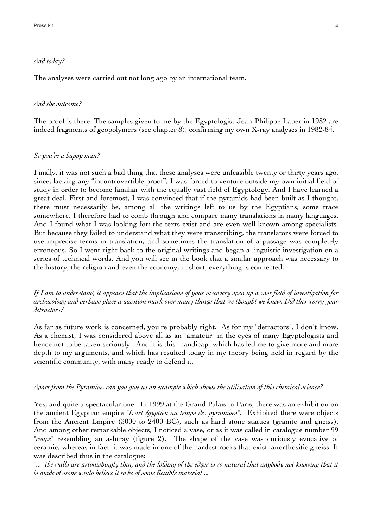#### *And today?*

The analyses were carried out not long ago by an international team.

#### *And the outcome?*

The proof is there. The samples given to me by the Egyptologist Jean-Philippe Lauer in 1982 are indeed fragments of geopolymers (see chapter 8), confirming my own X-ray analyses in 1982-84.

#### *So you're a happy man?*

Finally, it was not such a bad thing that these analyses were unfeasible twenty or thirty years ago, since, lacking any "incontrovertible proof", I was forced to venture outside my own initial field of study in order to become familiar with the equally vast field of Egyptology. And I have learned a great deal. First and foremost, I was convinced that if the pyramids had been built as I thought, there must necessarily be, among all the writings left to us by the Egyptians, some trace somewhere. I therefore had to comb through and compare many translations in many languages. And I found what I was looking for: the texts exist and are even well known among specialists. But because they failed to understand what they were transcribing, the translators were forced to use imprecise terms in translation, and sometimes the translation of a passage was completely erroneous. So I went right back to the original writings and began a linguistic investigation on a series of technical words. And you will see in the book that a similar approach was necessary to the history, the religion and even the economy; in short, everything is connected.

*If I am to understand, it appears that the implications of your discovery open up a vast field of investigation for archaeology and perhaps place a question mark over many things that we thought we knew. Did this worry your detractors?*

As far as future work is concerned, you're probably right. As for my "detractors", I don't know. As a chemist, I was considered above all as an "amateur" in the eyes of many Egyptologists and hence not to be taken seriously. And it is this "handicap" which has led me to give more and more depth to my arguments, and which has resulted today in my theory being held in regard by the scientific community, with many ready to defend it.

#### *Apart from the Pyramids, can you give us an example which shows the utilisation of this chemical science?*

Yes, and quite a spectacular one. In 1999 at the Grand Palais in Paris, there was an exhibition on the ancient Egyptian empire "*L'art égyptien au temps des pyramides*". Exhibited there were objects from the Ancient Empire (3000 to 2400 BC), such as hard stone statues (granite and gneiss). And among other remarkable objects, I noticed a vase, or as it was called in catalogue number 99 "*coupe*" resembling an ashtray (figure 2). The shape of the vase was curiously evocative of ceramic, whereas in fact, it was made in one of the hardest rocks that exist, anorthositic gneiss. It was described thus in the catalogue:

*"... the walls are astonishingly thin, and the folding of the edges is so natural that anybody not knowing that it is made of stone would believe it to be of some flexible material ..."*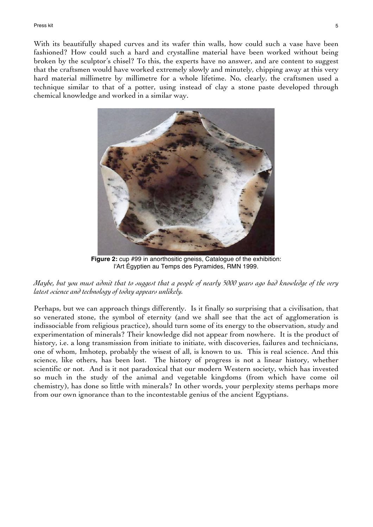With its beautifully shaped curves and its wafer thin walls, how could such a vase have been fashioned? How could such a hard and crystalline material have been worked without being broken by the sculptor's chisel? To this, the experts have no answer, and are content to suggest that the craftsmen would have worked extremely slowly and minutely, chipping away at this very hard material millimetre by millimetre for a whole lifetime. No, clearly, the craftsmen used a technique similar to that of a potter, using instead of clay a stone paste developed through chemical knowledge and worked in a similar way.



**Figure 2:** cup #99 in anorthositic gneiss, Catalogue of the exhibition: l'Art Égyptien au Temps des Pyramides, RMN 1999.



Perhaps, but we can approach things differently. Is it finally so surprising that a civilisation, that so venerated stone, the symbol of eternity (and we shall see that the act of agglomeration is indissociable from religious practice), should turn some of its energy to the observation, study and experimentation of minerals? Their knowledge did not appear from nowhere. It is the product of history, i.e. a long transmission from initiate to initiate, with discoveries, failures and technicians, one of whom, Imhotep, probably the wisest of all, is known to us. This is real science. And this science, like others, has been lost. The history of progress is not a linear history, whether scientific or not. And is it not paradoxical that our modern Western society, which has invested so much in the study of the animal and vegetable kingdoms (from which have come oil chemistry), has done so little with minerals? In other words, your perplexity stems perhaps more from our own ignorance than to the incontestable genius of the ancient Egyptians.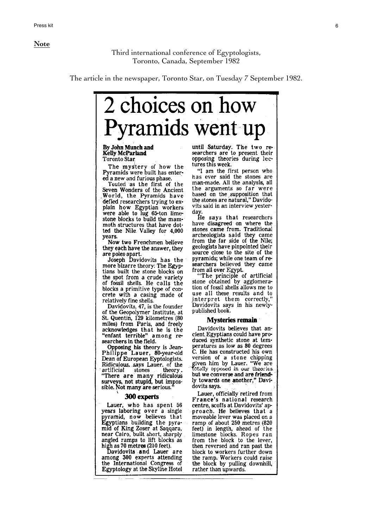**Note**

Third international conference of Egyptologists, Toronto, Canada, September 1982

The article in the newspaper, Toronto Star, on Tuesday 7 September 1982.



By John Munch and **Kelly McParland** Toronto Star

The mystery of how the Pyramids were built has entered a new and furious phase.

Touted 'as the first of the Seven Wonders of the Ancient World, the Pyramids have defied researchers trying to explain how Egyptian workers<br>were able to lug 65-ton limestone blocks to build the mammoth structures that have dotted the Nile Valley for 4,000 years.

Now two Frenchmen believe they each have the answer, they are poles apart.

Joseph Davidovits has the more bizarre theory: The Egyptians built the stone blocks on the spot from a crude variety of fossil shells. He calls the blocks a primitive type of concrete with a casing made of relatively fine shells.

Davidovits, 47, is the founder of the Geopolymer Institute, at St. Quentin, 129 kilometres (80 miles) from Paris, and freely acknowledges that he is the "enfant terrible" among researchers in the field.

Opposing his theory is Jean-Philippe Lauer, 80-year-old Dean of European Eyptologists. Ridiculous, says Lauer, of the artificial stones theory. artificial stones theory.<br>"There are many ridiculous surveys, not stupid, but impossible. Not many are serious.

#### 300 experts

Lauer, who has spent 56 years laboring over a single<br>pyramid, now believes that<br>Egyptians building the pyramid of King Zoser at Saqqara, near Cairo, built short, sharply angled ramps to lift blocks as

high as 70 metres (210 feet).<br>Davidovits and Lauer are among 300 experts attending the International Congress of Egyptology at the Skyline Hotel until Saturday. The two researchers are to present their opposing theories during lectures this week.

"I am the first person who has ever said the stones are man-made. All the analysis, all the arguments so far were based on the supposition that<br>the stones are natural," Davidovits said in an interview vesterday.

He says that researchers have disagreed on where the stones came from. Traditional<br>archeologists said they came from the far side of the Nile; geologists have pinpointed their source close to the site of the pyramids; while one team of researchers believed they came from all over Egypt.

"The principle of artificial stone obtained by agglomeration of fossil shells allows me to use all these results and to interpret them correctly,"<br>Davidovits says in his newlypublished book.

#### **Mysteries remain**

Davidovits believes that ancient Egyptians could have produced synthetic stone at temperatures as low as 80 degrees C. He has constructed his own version of a stone chipping<br>given him by Lauer. "We are<br>totally opposed in our theories. but we converse and are friendly towards one another," Davidovits says.

Lauer, officially retired from France's national research centre, scoffs at Davidovits' approach. He believes that a<br>moveable lever was placed on a ramp of about 250 metres (820 feet) in length, ahead of the limestone blocks. Ropes ran from the block to the lever, then reversed and ran past the block to workers further down the ramp. Workers could raise<br>the block by pulling downhill, rather than upwards.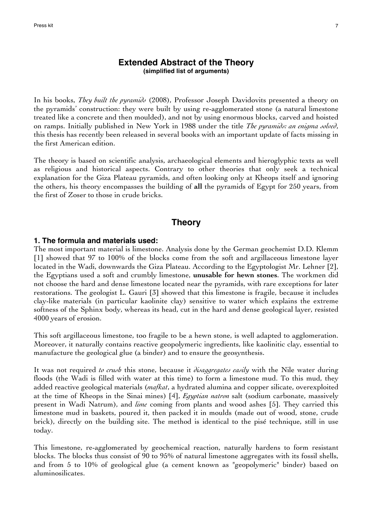## **Extended Abstract of the Theory (simplified list of arguments)**

In his books, *They built the pyramids* (2008), Professor Joseph Davidovits presented a theory on the pyramids' construction: they were built by using re-agglomerated stone (a natural limestone treated like a concrete and then moulded), and not by using enormous blocks, carved and hoisted on ramps. Initially published in New York in 1988 under the title *The pyramids: an enigma solved*, this thesis has recently been released in several books with an important update of facts missing in the first American edition.

The theory is based on scientific analysis, archaeological elements and hieroglyphic texts as well as religious and historical aspects. Contrary to other theories that only seek a technical explanation for the Giza Plateau pyramids, and often looking only at Kheops itself and ignoring the others, his theory encompasses the building of **all** the pyramids of Egypt for 250 years, from the first of Zoser to those in crude bricks.

## **Theory**

#### **1. The formula and materials used:**

The most important material is limestone. Analysis done by the German geochemist D.D. Klemm [1] showed that 97 to 100% of the blocks come from the soft and argillaceous limestone layer located in the Wadi, downwards the Giza Plateau. According to the Egyptologist Mr. Lehner [2], the Egyptians used a soft and crumbly limestone, **unusable for hewn stones**. The workmen did not choose the hard and dense limestone located near the pyramids, with rare exceptions for later restorations. The geologist L. Gauri [3] showed that this limestone is fragile, because it includes clay-like materials (in particular kaolinite clay) sensitive to water which explains the extreme softness of the Sphinx body, whereas its head, cut in the hard and dense geological layer, resisted 4000 years of erosion.

This soft argillaceous limestone, too fragile to be a hewn stone, is well adapted to agglomeration. Moreover, it naturally contains reactive geopolymeric ingredients, like kaolinitic clay, essential to manufacture the geological glue (a binder) and to ensure the geosynthesis.

It was not required *to crush* this stone, because it *disaggregates easily* with the Nile water during floods (the Wadi is filled with water at this time) to form a limestone mud. To this mud, they added reactive geological materials (*mafkat*, a hydrated alumina and copper silicate, overexploited at the time of Kheops in the Sinai mines) [4], *Egyptian natron* salt (sodium carbonate, massively present in Wadi Natrum), and *lime* coming from plants and wood ashes [5]. They carried this limestone mud in baskets, poured it, then packed it in moulds (made out of wood, stone, crude brick), directly on the building site. The method is identical to the pisé technique, still in use today.

This limestone, re-agglomerated by geochemical reaction, naturally hardens to form resistant blocks. The blocks thus consist of 90 to 95% of natural limestone aggregates with its fossil shells, and from 5 to 10% of geological glue (a cement known as "geopolymeric" binder) based on aluminosilicates.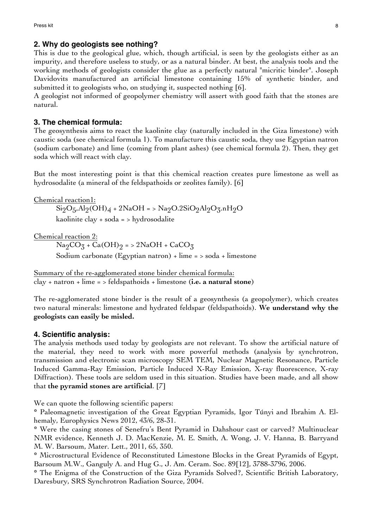## **2. Why do geologists see nothing?**

This is due to the geological glue, which, though artificial, is seen by the geologists either as an impurity, and therefore useless to study, or as a natural binder. At best, the analysis tools and the working methods of geologists consider the glue as a perfectly natural "micritic binder". Joseph Davidovits manufactured an artificial limestone containing 15% of synthetic binder, and submitted it to geologists who, on studying it, suspected nothing [6].

A geologist not informed of geopolymer chemistry will assert with good faith that the stones are natural.

#### **3. The chemical formula:**

The geosynthesis aims to react the kaolinite clay (naturally included in the Giza limestone) with caustic soda (see chemical formula 1). To manufacture this caustic soda, they use Egyptian natron (sodium carbonate) and lime (coming from plant ashes) (see chemical formula 2). Then, they get soda which will react with clay.

But the most interesting point is that this chemical reaction creates pure limestone as well as hydrosodalite (a mineral of the feldspathoids or zeolites family). [6]

Chemical reaction1:  $Si_2O_5$ ,Al<sub>2</sub>(OH)<sub>4</sub> + 2NaOH = > Na<sub>2</sub>O.2SiO<sub>2</sub>Al<sub>2</sub>O<sub>3</sub>.nH<sub>2</sub>O kaolinite clay + soda = > hydrosodalite

Chemical reaction 2:

 $\text{Na}_2\text{CO}_3 + \text{Ca}(\text{OH})_2 = 2\text{NaOH} + \text{CaCO}_3$ 

Sodium carbonate (Egyptian natron) + lime =  $>$  soda + limestone

Summary of the re-agglomerated stone binder chemical formula: clay + natron + lime = > feldspathoids + limestone (**i.e. a natural stone**)

The re-agglomerated stone binder is the result of a geosynthesis (a geopolymer), which creates two natural minerals: limestone and hydrated feldspar (feldspathoids). **We understand why the geologists can easily be misled.**

## **4. Scientific analysis:**

The analysis methods used today by geologists are not relevant. To show the artificial nature of the material, they need to work with more powerful methods (analysis by synchrotron, transmission and electronic scan microscopy SEM TEM, Nuclear Magnetic Resonance, Particle Induced Gamma-Ray Emission, Particle Induced X-Ray Emission, X-ray fluorescence, X-ray Diffraction). These tools are seldom used in this situation. Studies have been made, and all show that **the pyramid stones are artificial**. [7]

We can quote the following scientific papers:

**\*** Paleomagnetic investigation of the Great Egyptian Pyramids, Igor Túnyi and Ibrahim A. Elhemaly, Europhysics News 2012, 43/6, 28-31.

**\*** Were the casing stones of Senefru's Bent Pyramid in Dahshour cast or carved? Multinuclear NMR evidence, Kenneth J. D. MacKenzie, M. E. Smith, A. Wong, J. V. Hanna, B. Barryand M. W. Barsoum, Mater. Lett., 2011, 65, 350.

**\*** Microstructural Evidence of Reconstituted Limestone Blocks in the Great Pyramids of Egypt, Barsoum M.W., Ganguly A. and Hug G., J. Am. Ceram. Soc. 89[12], 3788-3796, 2006.

**\*** The Enigma of the Construction of the Giza Pyramids Solved?, Scientific British Laboratory, Daresbury, SRS Synchrotron Radiation Source, 2004.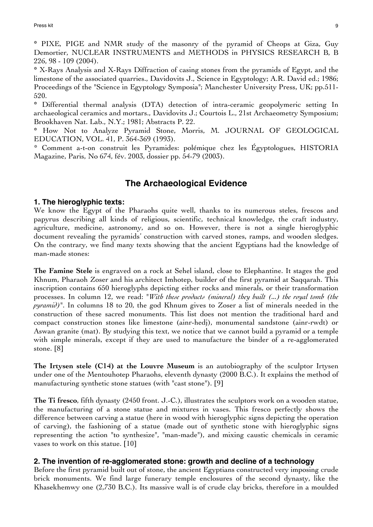**\*** PIXE, PIGE and NMR study of the masonry of the pyramid of Cheops at Giza, Guy Demortier, NUCLEAR INSTRUMENTS and METHODS in PHYSICS RESEARCH B, B 226, 98 - 109 (2004).

**\*** X-Rays Analysis and X-Rays Diffraction of casing stones from the pyramids of Egypt, and the limestone of the associated quarries., Davidovits J., Science in Egyptology; A.R. David ed.; 1986; Proceedings of the "Science in Egyptology Symposia"; Manchester University Press, UK; pp.511-520.

**\*** Differential thermal analysis (DTA) detection of intra-ceramic geopolymeric setting In archaeological ceramics and mortars., Davidovits J.; Courtois L., 21st Archaeometry Symposium; Brookhaven Nat. Lab., N.Y.; 1981; Abstracts P. 22.

**\*** How Not to Analyze Pyramid Stone, Morris, M. JOURNAL OF GEOLOGICAL EDUCATION, VOL. 41, P. 364-369 (1993).

\* Comment a-t-on construit les Pyramides: polémique chez les Égyptologues, HISTORIA Magazine, Paris, No 674, fév. 2003, dossier pp. 54-79 (2003).

# **The Archaeological Evidence**

#### **1. The hieroglyphic texts:**

We know the Egypt of the Pharaohs quite well, thanks to its numerous steles, frescos and papyrus describing all kinds of religious, scientific, technical knowledge, the craft industry, agriculture, medicine, astronomy, and so on. However, there is not a single hieroglyphic document revealing the pyramids' construction with carved stones, ramps, and wooden sledges. On the contrary, we find many texts showing that the ancient Egyptians had the knowledge of man-made stones:

**The Famine Stele** is engraved on a rock at Sehel island, close to Elephantine. It stages the god Khnum, Pharaoh Zoser and his architect Imhotep, builder of the first pyramid at Saqqarah. This inscription contains 650 hieroglyphs depicting either rocks and minerals, or their transformation processes. In column 12, we read: "*With these products (mineral) they built (...) the royal tomb (the pyramid*)". In columns 18 to 20, the god Khnum gives to Zoser a list of minerals needed in the construction of these sacred monuments. This list does not mention the traditional hard and compact construction stones like limestone (ainr-hedj), monumental sandstone (ainr-rwdt) or Aswan granite (mat). By studying this text, we notice that we cannot build a pyramid or a temple with simple minerals, except if they are used to manufacture the binder of a re-agglomerated stone. [8]

**The Irtysen stele (C14) at the Louvre Museum** is an autobiography of the sculptor Irtysen under one of the Mentouhotep Pharaohs, eleventh dynasty (2000 B.C.). It explains the method of manufacturing synthetic stone statues (with "cast stone"). [9]

**The Ti fresco**, fifth dynasty (2450 front. J.-C.), illustrates the sculptors work on a wooden statue, the manufacturing of a stone statue and mixtures in vases. This fresco perfectly shows the difference between carving a statue (here in wood with hieroglyphic signs depicting the operation of carving), the fashioning of a statue (made out of synthetic stone with hieroglyphic signs representing the action "to synthesize", "man-made"), and mixing caustic chemicals in ceramic vases to work on this statue. [10]

#### **2. The invention of re-agglomerated stone: growth and decline of a technology**

Before the first pyramid built out of stone, the ancient Egyptians constructed very imposing crude brick monuments. We find large funerary temple enclosures of the second dynasty, like the Khasekhemwy one (2,730 B.C.). Its massive wall is of crude clay bricks, therefore in a moulded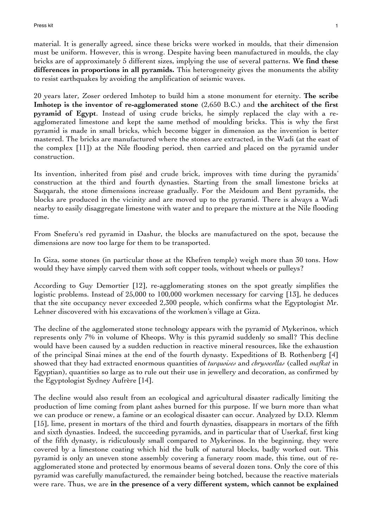material. It is generally agreed, since these bricks were worked in moulds, that their dimension must be uniform. However, this is wrong. Despite having been manufactured in moulds, the clay bricks are of approximately 5 different sizes, implying the use of several patterns. **We find these differences in proportions in all pyramids.** This heterogeneity gives the monuments the ability to resist earthquakes by avoiding the amplification of seismic waves.

20 years later, Zoser ordered Imhotep to build him a stone monument for eternity. **The scribe Imhotep is the inventor of re-agglomerated stone** (2,650 B.C.) and **the architect of the first pyramid of Egypt**. Instead of using crude bricks, he simply replaced the clay with a reagglomerated limestone and kept the same method of moulding bricks. This is why the first pyramid is made in small bricks, which become bigger in dimension as the invention is better mastered. The bricks are manufactured where the stones are extracted, in the Wadi (at the east of the complex [11]) at the Nile flooding period, then carried and placed on the pyramid under construction.

Its invention, inherited from pisé and crude brick, improves with time during the pyramids' construction at the third and fourth dynasties. Starting from the small limestone bricks at Saqqarah, the stone dimensions increase gradually. For the Meidoum and Bent pyramids, the blocks are produced in the vicinity and are moved up to the pyramid. There is always a Wadi nearby to easily disaggregate limestone with water and to prepare the mixture at the Nile flooding time.

From Sneferu's red pyramid in Dashur, the blocks are manufactured on the spot, because the dimensions are now too large for them to be transported.

In Giza, some stones (in particular those at the Khefren temple) weigh more than 30 tons. How would they have simply carved them with soft copper tools, without wheels or pulleys?

According to Guy Demortier [12], re-agglomerating stones on the spot greatly simplifies the logistic problems. Instead of 25,000 to 100,000 workmen necessary for carving [13], he deduces that the site occupancy never exceeded 2,300 people, which confirms what the Egyptologist Mr. Lehner discovered with his excavations of the workmen's village at Giza.

The decline of the agglomerated stone technology appears with the pyramid of Mykerinos, which represents only 7% in volume of Kheops. Why is this pyramid suddenly so small? This decline would have been caused by a sudden reduction in reactive mineral resources, like the exhaustion of the principal Sinai mines at the end of the fourth dynasty. Expeditions of B. Rothenberg [4] showed that they had extracted enormous quantities of *turquoises* and *chrysocollas* (called *mafkat* in Egyptian), quantities so large as to rule out their use in jewellery and decoration, as confirmed by the Egyptologist Sydney Aufrère [14].

The decline would also result from an ecological and agricultural disaster radically limiting the production of lime coming from plant ashes burned for this purpose. If we burn more than what we can produce or renew, a famine or an ecological disaster can occur. Analyzed by D.D. Klemm [15], lime, present in mortars of the third and fourth dynasties, disappears in mortars of the fifth and sixth dynasties. Indeed, the succeeding pyramids, and in particular that of Userkaf, first king of the fifth dynasty, is ridiculously small compared to Mykerinos. In the beginning, they were covered by a limestone coating which hid the bulk of natural blocks, badly worked out. This pyramid is only an uneven stone assembly covering a funerary room made, this time, out of reagglomerated stone and protected by enormous beams of several dozen tons. Only the core of this pyramid was carefully manufactured, the remainder being botched, because the reactive materials were rare. Thus, we are **in the presence of a very different system, which cannot be explained**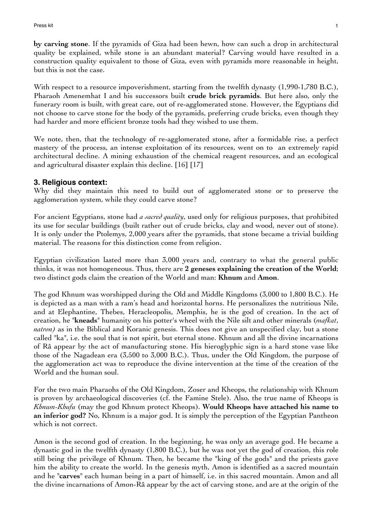**by carving stone**. If the pyramids of Giza had been hewn, how can such a drop in architectural quality be explained, while stone is an abundant material? Carving would have resulted in a construction quality equivalent to those of Giza, even with pyramids more reasonable in height, but this is not the case.

With respect to a resource impoverishment, starting from the twelfth dynasty (1,990-1,780 B.C.), Pharaoh Amenemhat I and his successors built **crude brick pyramids**. But here also, only the funerary room is built, with great care, out of re-agglomerated stone. However, the Egyptians did not choose to carve stone for the body of the pyramids, preferring crude bricks, even though they had harder and more efficient bronze tools had they wished to use them.

We note, then, that the technology of re-agglomerated stone, after a formidable rise, a perfect mastery of the process, an intense exploitation of its resources, went on to an extremely rapid architectural decline. A mining exhaustion of the chemical reagent resources, and an ecological and agricultural disaster explain this decline. [16] [17]

#### **3. Religious context:**

Why did they maintain this need to build out of agglomerated stone or to preserve the agglomeration system, while they could carve stone?

For ancient Egyptians, stone had *a sacred quality*, used only for religious purposes, that prohibited its use for secular buildings (built rather out of crude bricks, clay and wood, never out of stone). It is only under the Ptolemys, 2,000 years after the pyramids, that stone became a trivial building material. The reasons for this distinction come from religion.

Egyptian civilization lasted more than 3,000 years and, contrary to what the general public thinks, it was not homogeneous. Thus, there are **2 geneses explaining the creation of the World**; two distinct gods claim the creation of the World and man: **Khnum** and **Amon**.

The god Khnum was worshipped during the Old and Middle Kingdoms (3,000 to 1,800 B.C.). He is depicted as a man with a ram's head and horizontal horns. He personalizes the nutritious Nile, and at Elephantine, Thebes, Heracleopolis, Memphis, he is the god of creation. In the act of creation, he "**kneads**" humanity on his potter's wheel with the Nile silt and other minerals (*mafkat*, *natron)* as in the Biblical and Koranic genesis. This does not give an unspecified clay, but a stone called "ka", i.e. the soul that is not spirit, but eternal stone. Khnum and all the divine incarnations of Râ appear by the act of manufacturing stone. His hieroglyphic sign is a hard stone vase like those of the Nagadean era (3,500 to 3,000 B.C.). Thus, under the Old Kingdom, the purpose of the agglomeration act was to reproduce the divine intervention at the time of the creation of the World and the human soul.

For the two main Pharaohs of the Old Kingdom, Zoser and Kheops, the relationship with Khnum is proven by archaeological discoveries (cf. the Famine Stele). Also, the true name of Kheops is *Khnum-Khufu* (may the god Khnum protect Kheops). **Would Kheops have attached his name to an inferior god?** No, Khnum is a major god. It is simply the perception of the Egyptian Pantheon which is not correct.

Amon is the second god of creation. In the beginning, he was only an average god. He became a dynastic god in the twelfth dynasty (1,800 B.C.), but he was not yet the god of creation, this role still being the privilege of Khnum. Then, he became the "king of the gods" and the priests gave him the ability to create the world. In the genesis myth, Amon is identified as a sacred mountain and he "**carves**" each human being in a part of himself, i.e. in this sacred mountain. Amon and all the divine incarnations of Amon-Râ appear by the act of carving stone, and are at the origin of the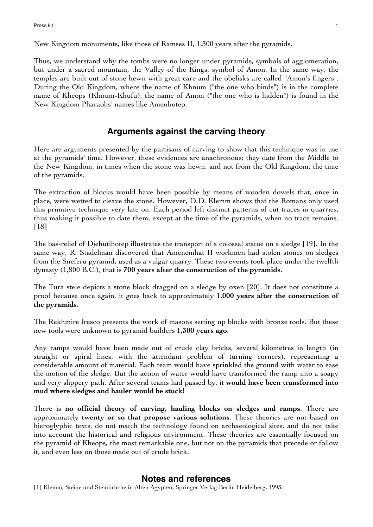New Kingdom monuments, like those of Ramses II, 1,300 years after the pyramids.

Thus, we understand why the tombs were no longer under pyramids, symbols of agglomeration, but under a sacred mountain, the Valley of the Kings, symbol of Amon. In the same way, the temples are built out of stone hewn with great care and the obelisks are called "Amon's fingers". During the Old Kingdom, where the name of Khnum ("the one who binds") is in the complete name of Kheops (Khnum-Khufu), the name of Amon ("the one who is hidden") is found in the New Kingdom Pharaohs' names like Amenhotep.

# **Arguments against the carving theory**

Here are arguments presented by the partisans of carving to show that this technique was in use at the pyramids' time. However, these evidences are anachronous; they date from the Middle to the New Kingdom, in times when the stone was hewn, and not from the Old Kingdom, the time of the pyramids.

The extraction of blocks would have been possible by means of wooden dowels that, once in place, were wetted to cleave the stone. However, D.D. Klemm shows that the Romans only used this primitive technique very late on. Each period left distinct patterns of cut traces in quarries, thus making it possible to date them, except at the time of the pyramids, when no trace remains. [18]

The bas-relief of Djehutihotep illustrates the transport of a colossal statue on a sledge [19]. In the same way, R. Stadelman discovered that Amenemhat II workmen had stolen stones on sledges from the Sneferu pyramid, used as a vulgar quarry. These two events took place under the twelfth dynasty (1,800 B.C.), that is **700 years after the construction of the pyramids**.

The Tura stele depicts a stone block dragged on a sledge by oxen [20]. It does not constitute a proof because once again, it goes back to approximately **1,000 years after the construction of the pyramids**.

The Rekhmire fresco presents the work of masons setting up blocks with bronze tools. But these new tools were unknown to pyramid builders **1,300 years ago**.

Any ramps would have been made out of crude clay bricks, several kilometres in length (in straight or spiral lines, with the attendant problem of turning corners), representing a considerable amount of material. Each team would have sprinkled the ground with water to ease the motion of the sledge. But the action of water would have transformed the ramp into a soapy and very slippery path. After several teams had passed by, it **would have been transformed into mud where sledges and hauler would be stuck!**

There is **no official theory of carving, hauling blocks on sledges and ramps.** There are approximately **twenty or so that propose various solutions**. These theories are not based on hieroglyphic texts, do not match the technology found on archaeological sites, and do not take into account the historical and religious environment. These theories are essentially focused on the pyramid of Kheops, the most remarkable one, but not on the pyramids that precede or follow it, and even less on those made out of crude brick.

## **Notes and references**

[1] Klemm, Steine und Steinbrüche in Alten Ägypten, Springer Verlag Berlin Heidelberg, 1993.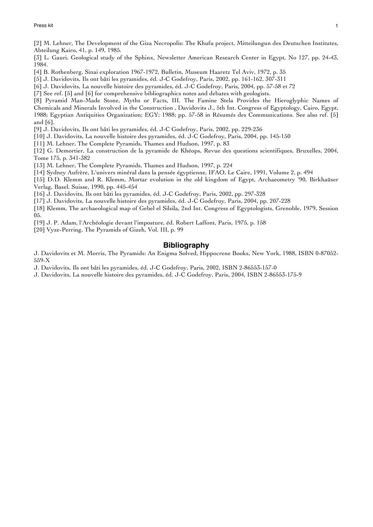[2] M. Lehner, The Development of the Giza Necropolis: The Khufu project, Mitteilungun des Deutschen Institutes, Abteilung Kairo, 41, p. 149, 1985.

[3] L. Gauri, Geological study of the Sphinx, Newsletter American Research Center in Egypt, No 127, pp. 24-43, 1984.

[4] B. Rothenberg, Sinai exploration 1967-1972, Bulletin, Museum Haaretz Tel Aviv, 1972, p. 35

[5] J. Davidovits, Ils ont bâti les pyramides, éd. J-C Godefroy, Paris, 2002, pp. 161-162, 307-311

[6] J. Davidovits, La nouvelle histoire des pyramides, éd. J-C Godefroy, Paris, 2004, pp. 57-58 et 72

[7] See ref. [5] and [6] for comprehensive bibliographics notes and debates with geologists.

[8] Pyramid Man-Made Stone, Myths or Facts, III. The Famine Stela Provides the Hieroglyphic Names of Chemicals and Minerals Involved in the Construction , Davidovits J., 5th Int. Congress of Egyptology, Cairo, Egypt, 1988; Egyptian Antiquities Organization; EGY; 1988; pp. 57-58 in Résumés des Communications. See also ref. [5] and [6].

[9] J. Davidovits, Ils ont bâti les pyramides, éd. J-C Godefroy, Paris, 2002, pp. 229-236

[10] J. Davidovits, La nouvelle histoire des pyramides, éd. J-C Godefroy, Paris, 2004, pp. 145-150

[11] M. Lehner, The Complete Pyramids, Thames and Hudson, 1997, p. 83

[12] G. Demortier, La construction de la pyramide de Khéops, Revue des questions scientifiques, Bruxelles, 2004, Tome 175, p. 341-382

[13] M. Lehner, The Complete Pyramids, Thames and Hudson, 1997, p. 224

[14] Sydney Aufrère, L'univers minéral dans la pensée égyptienne, IFAO, Le Caire, 1991, Volume 2, p. 494

[15] D.D. Klemm and R. Klemm, Mortar evolution in the old kingdom of Egypt, Archaeometry '90, Birkhaüser Verlag, Basel, Suisse, 1990, pp. 445-454

[16] J. Davidovits, Ils ont bâti les pyramides, éd. J-C Godefroy, Paris, 2002, pp. 297-328

[17] J. Davidovits, La nouvelle histoire des pyramides, éd. J-C Godefroy, Paris, 2004, pp. 207-228

[18] Klemm, The archaeological map of Gebel el Silsila, 2nd Int. Congress of Egyptologists, Grenoble, 1979, Session 05.

[19] J. P. Adam, l'Archéologie devant l'imposture, éd. Robert Laffont, Paris, 1975, p. 158

[20] Vyze-Perring, The Pyramids of Gizeh, Vol. III, p. 99

#### **Bibliography**

J. Davidovits et M. Morris, The Pyramids: An Enigma Solved, Hippocrene Books, New York, 1988, ISBN 0-87052- 559-X

J. Davidovits, Ils ont bâti les pyramides, éd. J-C Godefroy, Paris, 2002, ISBN 2-86553-157-0

J. Davidovits, La nouvelle histoire des pyramides, éd. J-C Godefroy, Paris, 2004, ISBN 2-86553-175-9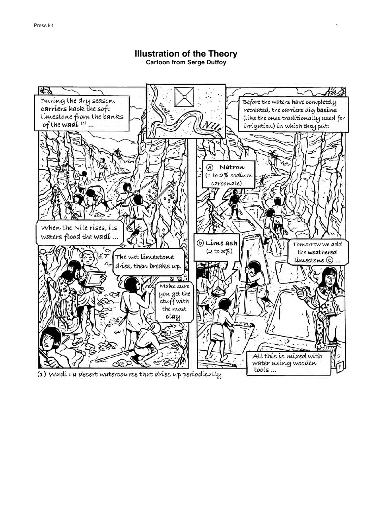

## **Illustration of the Theory Cartoon from Serge Dutfoy**